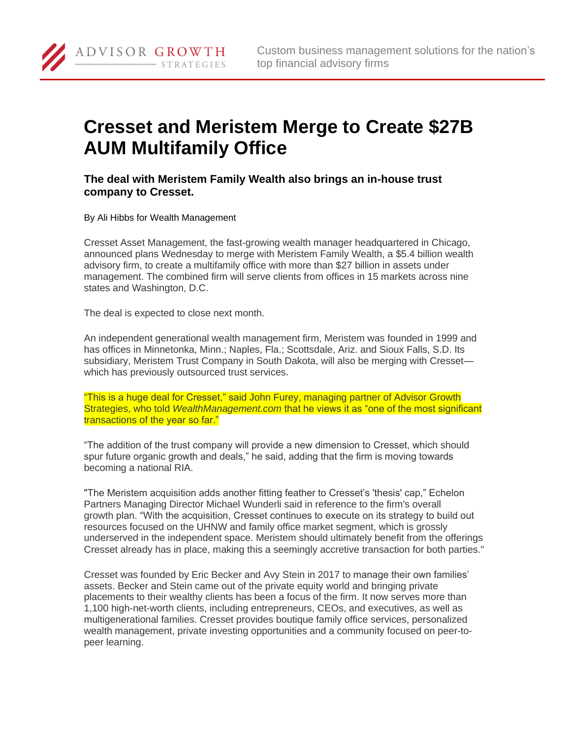

## **Cresset and Meristem Merge to Create \$27B AUM Multifamily Office**

**The deal with Meristem Family Wealth also brings an in-house trust company to Cresset.**

By Ali Hibbs for Wealth Management

ADVISOR GROWTH

**STRATEGIES** 

Cresset Asset Management, the fast-growing wealth manager headquartered in Chicago, announced plans Wednesday to merge with Meristem Family Wealth, a \$5.4 billion wealth advisory firm, to create a multifamily office with more than \$27 billion in assets under management. The combined firm will serve clients from offices in 15 markets across nine states and Washington, D.C.

The deal is expected to close next month.

An independent generational wealth management firm, Meristem was founded in 1999 and has offices in Minnetonka, Minn.; Naples, Fla.; Scottsdale, Ariz. and Sioux Falls, S.D. Its subsidiary, Meristem Trust Company in South Dakota, will also be merging with Cresset which has previously outsourced trust services.

"This is a huge deal for Cresset," said John Furey, managing partner of Advisor Growth Strategies, who told *WealthManagement.com* that he views it as "one of the most significant transactions of the year so far."

"The addition of the trust company will provide a new dimension to Cresset, which should spur future organic growth and deals," he said, adding that the firm is moving towards becoming a national RIA.

"The Meristem acquisition adds another fitting feather to Cresset's 'thesis' cap," Echelon Partners Managing Director Michael Wunderli said in reference to the firm's overall growth plan. "With the acquisition, Cresset continues to execute on its strategy to build out resources focused on the UHNW and family office market segment, which is grossly underserved in the independent space. Meristem should ultimately benefit from the offerings Cresset already has in place, making this a seemingly accretive transaction for both parties."

Cresset was founded by Eric Becker and Avy Stein in 2017 to manage their own families' assets. Becker and Stein came out of the private equity world and bringing private placements to their wealthy clients has been a focus of the firm. It now serves more than 1,100 high-net-worth clients, including entrepreneurs, CEOs, and executives, as well as multigenerational families. Cresset provides boutique family office services, personalized wealth management, private investing opportunities and a community focused on peer-topeer learning.